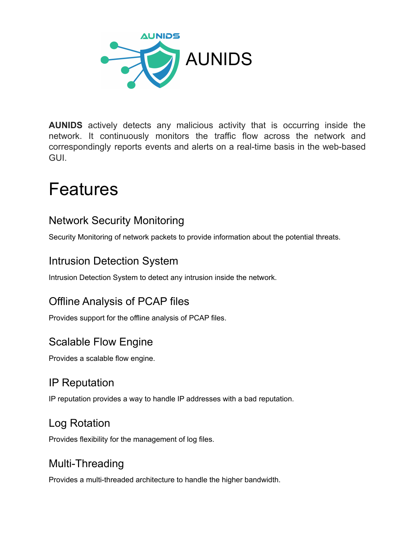

**AUNIDS** actively detects any malicious activity that is occurring inside the network. It continuously monitors the traffic flow across the network and correspondingly reports events and alerts on a real-time basis in the web-based GUI.

# Features

#### Network Security Monitoring

Security Monitoring of network packets to provide information about the potential threats.

#### Intrusion Detection System

Intrusion Detection System to detect any intrusion inside the network.

#### Offline Analysis of PCAP files

Provides support for the offline analysis of PCAP files.

#### Scalable Flow Engine

Provides a scalable flow engine.

#### IP Reputation

IP reputation provides a way to handle IP addresses with a bad reputation.

#### Log Rotation

Provides flexibility for the management of log files.

#### Multi-Threading

Provides a multi-threaded architecture to handle the higher bandwidth.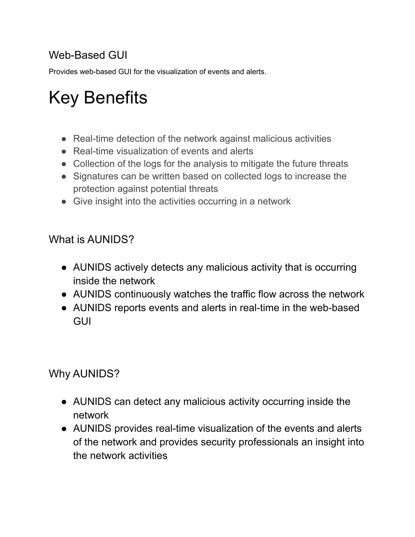## Web-Based GUI

Provides web-based GUI for the visualization of events and alerts.

# Key Benefits

- Real-time detection of the network against malicious activities
- Real-time visualization of events and alerts
- Collection of the logs for the analysis to mitigate the future threats
- Signatures can be written based on collected logs to increase the protection against potential threats
- Give insight into the activities occurring in a network

#### What is AUNIDS?

- AUNIDS actively detects any malicious activity that is occurring inside the network
- AUNIDS continuously watches the traffic flow across the network
- AUNIDS reports events and alerts in real-time in the web-based **GUI**

#### Why AUNIDS?

- AUNIDS can detect any malicious activity occurring inside the network
- AUNIDS provides real-time visualization of the events and alerts of the network and provides security professionals an insight into the network activities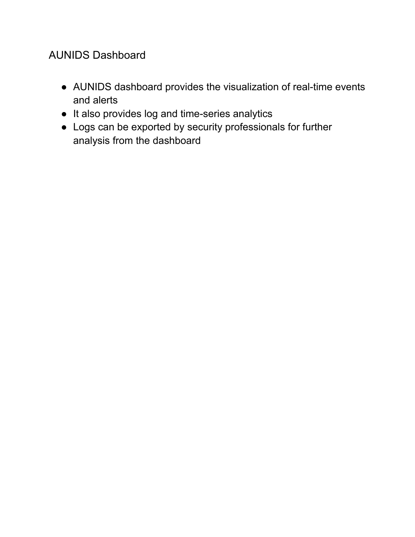### AUNIDS Dashboard

- AUNIDS dashboard provides the visualization of real-time events and alerts
- It also provides log and time-series analytics
- Logs can be exported by security professionals for further analysis from the dashboard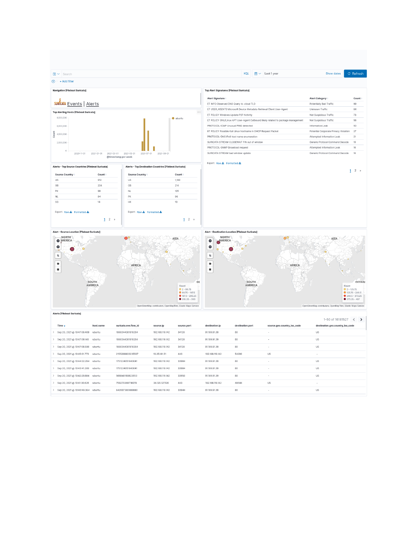